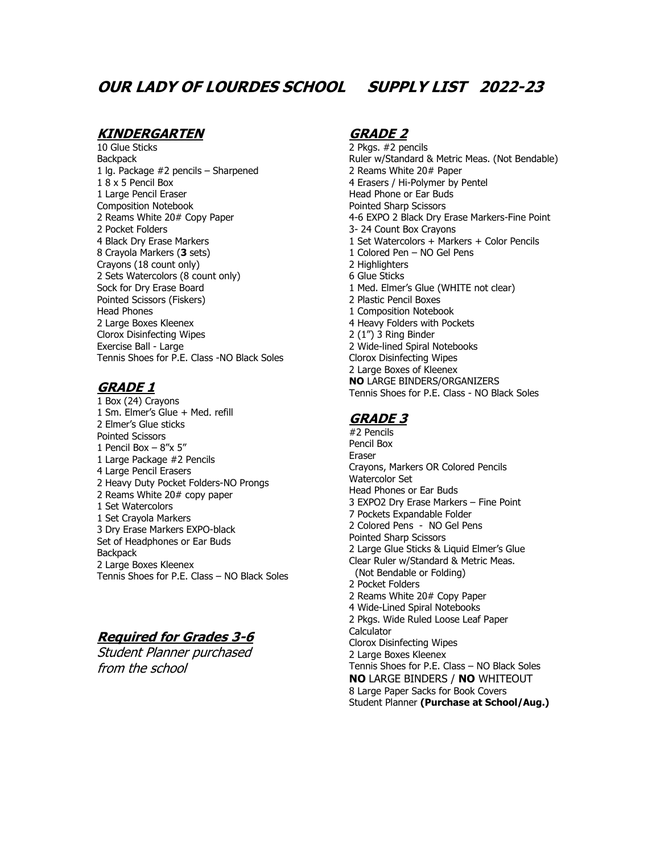# **OUR LADY OF LOURDES SCHOOL SUPPLY LIST 2022-23**

### **KINDERGARTEN**

10 Glue Sticks **Backpack** 1 lg. Package #2 pencils – Sharpened 1 8 x 5 Pencil Box 1 Large Pencil Eraser Composition Notebook 2 Reams White 20# Copy Paper 2 Pocket Folders 4 Black Dry Erase Markers 8 Crayola Markers (**3** sets) Crayons (18 count only) 2 Sets Watercolors (8 count only) Sock for Dry Erase Board Pointed Scissors (Fiskers) Head Phones 2 Large Boxes Kleenex Clorox Disinfecting Wipes Exercise Ball - Large Tennis Shoes for P.E. Class -NO Black Soles

## **GRADE 1**

1 Box (24) Crayons 1 Sm. Elmer's Glue + Med. refill 2 Elmer's Glue sticks Pointed Scissors 1 Pencil Box  $-8''x$  5" 1 Large Package #2 Pencils 4 Large Pencil Erasers 2 Heavy Duty Pocket Folders-NO Prongs 2 Reams White 20# copy paper 1 Set Watercolors 1 Set Crayola Markers 3 Dry Erase Markers EXPO-black Set of Headphones or Ear Buds **Backpack** 2 Large Boxes Kleenex Tennis Shoes for P.E. Class – NO Black Soles

## **Required for Grades 3-6**

Student Planner purchased from the school

## **GRADE 2**

2 Pkgs. #2 pencils Ruler w/Standard & Metric Meas. (Not Bendable) 2 Reams White 20# Paper 4 Erasers / Hi-Polymer by Pentel Head Phone or Ear Buds Pointed Sharp Scissors 4-6 EXPO 2 Black Dry Erase Markers-Fine Point 3- 24 Count Box Crayons 1 Set Watercolors + Markers + Color Pencils 1 Colored Pen – NO Gel Pens 2 Highlighters 6 Glue Sticks 1 Med. Elmer's Glue (WHITE not clear) 2 Plastic Pencil Boxes 1 Composition Notebook 4 Heavy Folders with Pockets 2 (1") 3 Ring Binder 2 Wide-lined Spiral Notebooks Clorox Disinfecting Wipes 2 Large Boxes of Kleenex **NO** LARGE BINDERS/ORGANIZERS Tennis Shoes for P.E. Class - NO Black Soles

## **GRADE 3**

#2 Pencils Pencil Box Eraser Crayons, Markers OR Colored Pencils Watercolor Set Head Phones or Ear Buds 3 EXPO2 Dry Erase Markers – Fine Point 7 Pockets Expandable Folder 2 Colored Pens - NO Gel Pens Pointed Sharp Scissors 2 Large Glue Sticks & Liquid Elmer's Glue Clear Ruler w/Standard & Metric Meas. (Not Bendable or Folding) 2 Pocket Folders 2 Reams White 20# Copy Paper 4 Wide-Lined Spiral Notebooks 2 Pkgs. Wide Ruled Loose Leaf Paper **Calculator** Clorox Disinfecting Wipes 2 Large Boxes Kleenex Tennis Shoes for P.E. Class – NO Black Soles **NO** LARGE BINDERS / **NO** WHITEOUT 8 Large Paper Sacks for Book Covers Student Planner **(Purchase at School/Aug.)**